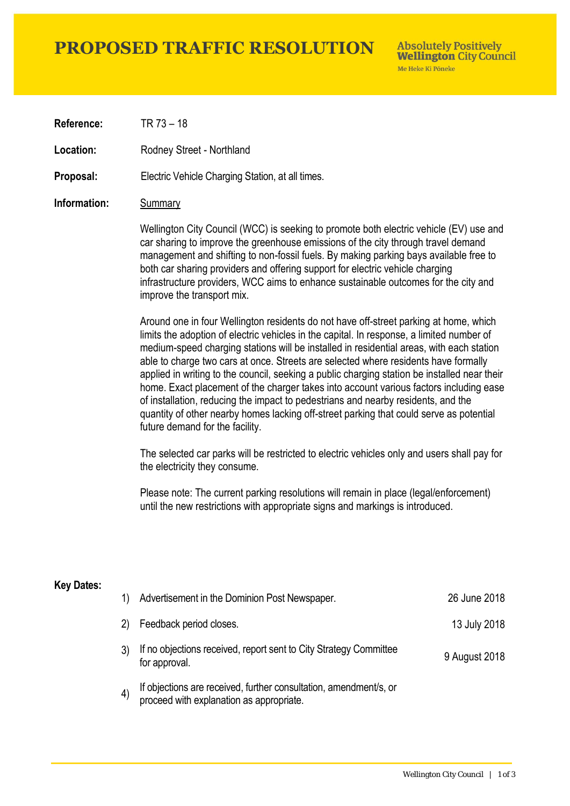## **PROPOSED TRAFFIC RESOLUTION**

**Absolutely Positively Wellington City Council** Me Heke Ki Pôneke

**Reference:** TR 73 – 18

Location: Rodney Street - Northland

**Proposal:** Electric Vehicle Charging Station, at all times.

#### **Information:** Summary

Wellington City Council (WCC) is seeking to promote both electric vehicle (EV) use and car sharing to improve the greenhouse emissions of the city through travel demand management and shifting to non-fossil fuels. By making parking bays available free to both car sharing providers and offering support for electric vehicle charging infrastructure providers, WCC aims to enhance sustainable outcomes for the city and improve the transport mix.

Around one in four Wellington residents do not have off-street parking at home, which limits the adoption of electric vehicles in the capital. In response, a limited number of medium-speed charging stations will be installed in residential areas, with each station able to charge two cars at once. Streets are selected where residents have formally applied in writing to the council, seeking a public charging station be installed near their home. Exact placement of the charger takes into account various factors including ease of installation, reducing the impact to pedestrians and nearby residents, and the quantity of other nearby homes lacking off-street parking that could serve as potential future demand for the facility.

The selected car parks will be restricted to electric vehicles only and users shall pay for the electricity they consume.

Please note: The current parking resolutions will remain in place (legal/enforcement) until the new restrictions with appropriate signs and markings is introduced.

#### **Key Dates:**

| 1)                | Advertisement in the Dominion Post Newspaper.                                                                 | 26 June 2018  |
|-------------------|---------------------------------------------------------------------------------------------------------------|---------------|
| 2)                | Feedback period closes.                                                                                       | 13 July 2018  |
|                   | If no objections received, report sent to City Strategy Committee<br>for approval.                            | 9 August 2018 |
| $\left( 4\right)$ | If objections are received, further consultation, amendment/s, or<br>proceed with explanation as appropriate. |               |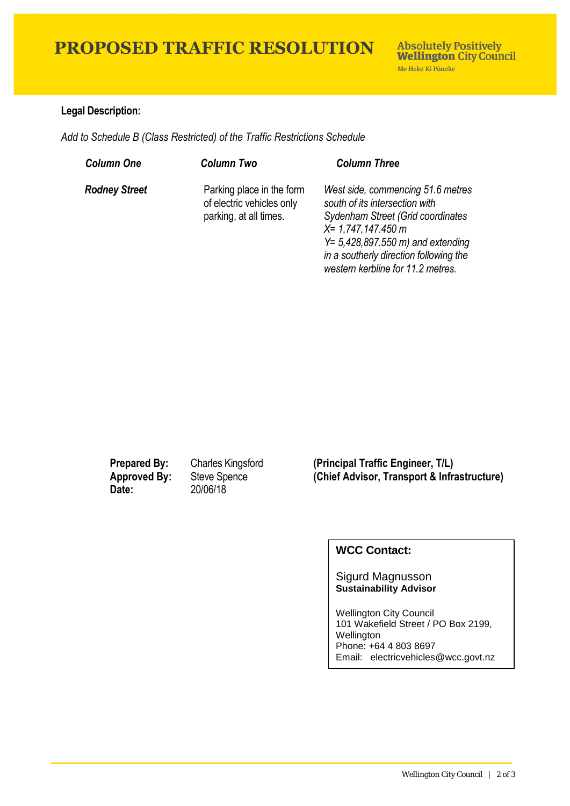# **PROPOSED TRAFFIC RESOLUTION**

### **Legal Description:**

*Add to Schedule B (Class Restricted) of the Traffic Restrictions Schedule* 

| <b>Column One</b>    | <b>Column Two</b>                                                                | <b>Column Three</b>                                                                                                                                                                                                                                      |
|----------------------|----------------------------------------------------------------------------------|----------------------------------------------------------------------------------------------------------------------------------------------------------------------------------------------------------------------------------------------------------|
| <b>Rodney Street</b> | Parking place in the form<br>of electric vehicles only<br>parking, at all times. | West side, commencing 51.6 metres<br>south of its intersection with<br>Sydenham Street (Grid coordinates<br>$X = 1,747,147.450$ m<br>$Y = 5,428,897.550$ m) and extending<br>in a southerly direction following the<br>western kerbline for 11.2 metres. |

**Date:** 20/06/18

**Prepared By:** Charles Kingsford **(Principal Traffic Engineer, T/L) Approved By:** Steve Spence **(Chief Advisor, Transport & Infrastructure)**

### **WCC Contact:**

Sigurd Magnusson **Sustainability Advisor**

Wellington City Council 101 Wakefield Street / PO Box 2199, Wellington Phone: +64 4 803 8697 Email: electricvehicles@wcc.govt.nz